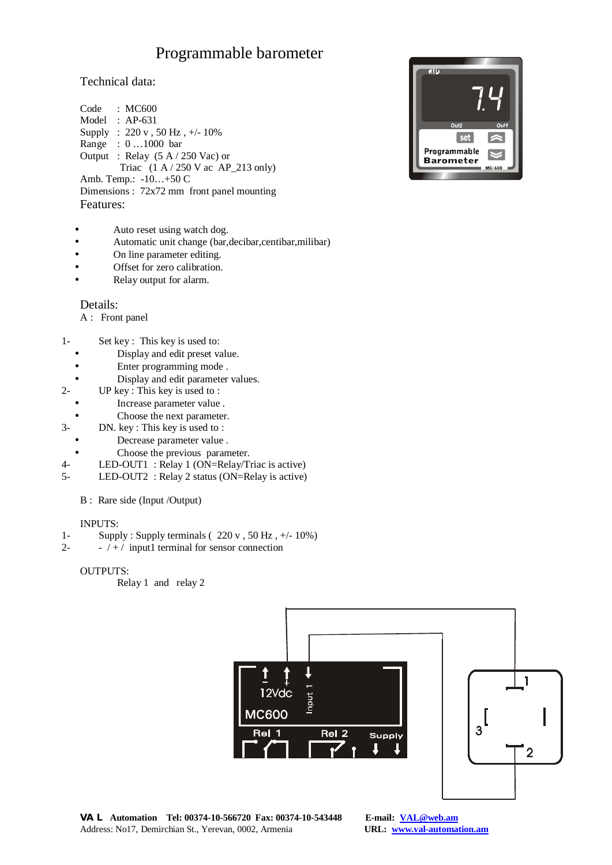# Programmable barometer

### Technical data:

Code : MC600 Model : AP-631 Supply : 220 v , 50 Hz , +/- 10% Range : 0 …1000 bar Output : Relay (5 A / 250 Vac) or Triac  $(1 \text{ A} / 250 \text{ V} \text{ ac } \text{AP}$ <sub>213</sub> only) Amb. Temp.: -10…+50 C Dimensions : 72x72 mm front panel mounting Features:

- Auto reset using watch dog.
- Automatic unit change (bar,decibar,centibar,milibar)
- On line parameter editing.
- Offset for zero calibration.
- Relay output for alarm.

#### Details:

- A : Front panel
- 1- Set key : This key is used to:
	- Display and edit preset value.
	- Enter programming mode .
	- Display and edit parameter values.
- 2- UP key : This key is used to :
	- Increase parameter value .
- Choose the next parameter.
- 3- DN. key : This key is used to :
	- Decrease parameter value .
	- Choose the previous parameter.
- 4- LED-OUT1 : Relay 1 (ON=Relay/Triac is active)
- 5- LED-OUT2 : Relay 2 status (ON=Relay is active)
	- B : Rare side (Input /Output)

#### INPUTS:

- 1- Supply : Supply terminals ( $220 \text{ v}$ ,  $50 \text{ Hz}$ ,  $\frac{+}{-}10\%$ )
- 2-  $-/-/$  input1 terminal for sensor connection

#### OUTPUTS:

Relay 1 and relay 2